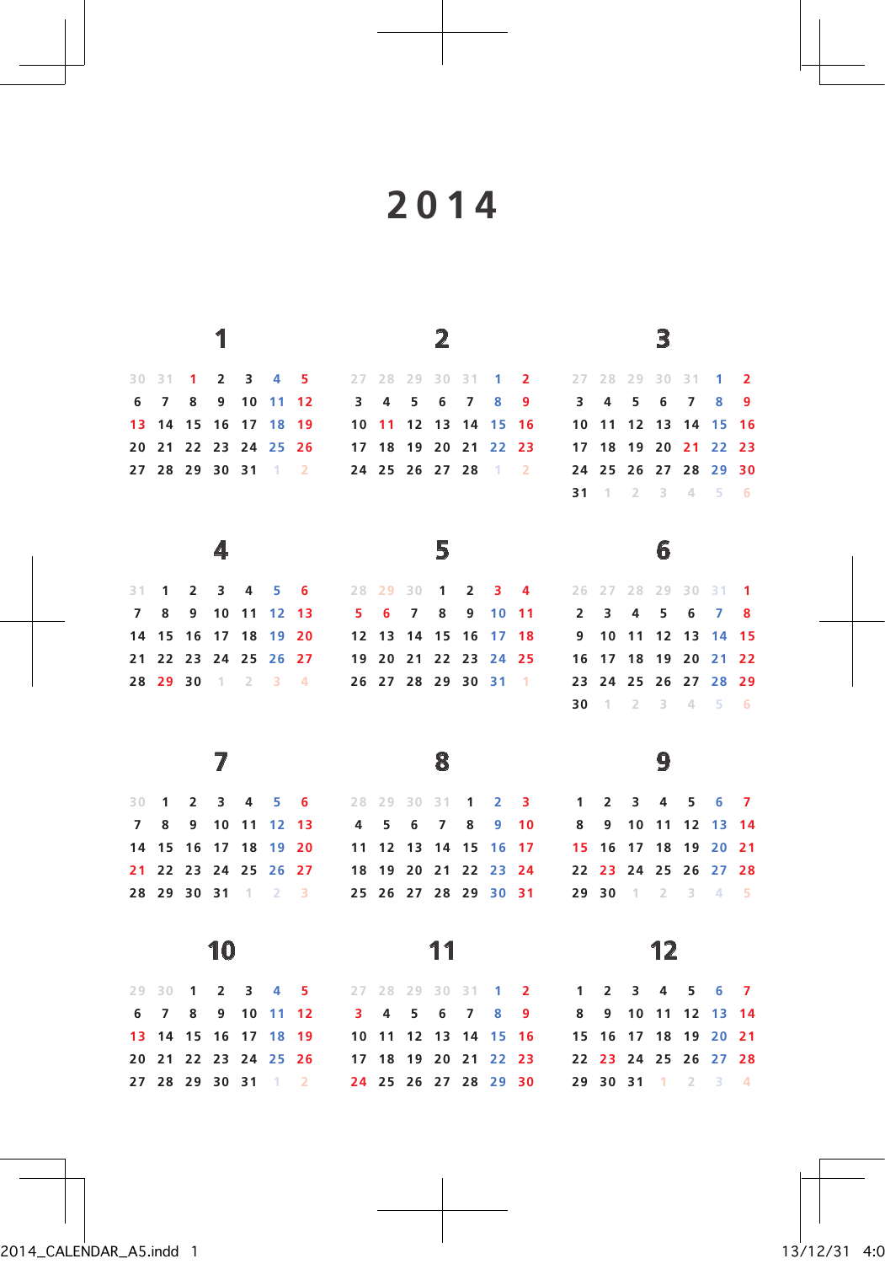|                |                |                |                |             |                   |                |                         |           |                      | 2              |                |                |                |                |                |                | 3              |    |                         |                |
|----------------|----------------|----------------|----------------|-------------|-------------------|----------------|-------------------------|-----------|----------------------|----------------|----------------|----------------|----------------|----------------|----------------|----------------|----------------|----|-------------------------|----------------|
| 30 31          |                | 1              | $\overline{2}$ | 3           | 4                 | 5              |                         | 27 28 29  |                      | 30             | 31             | 1              | 2              |                | 27 28          | 29             | 30             | 31 | 1                       | $\overline{2}$ |
| 6              | 7              | 8              | 9              |             | 10 11             | 12             | $\overline{\mathbf{3}}$ | 4         | 5                    | 6              | $\overline{7}$ | 8              | 9              | 3              | 4              | 5              | 6              | 7  | 8                       | 9              |
| 13             | 14             | 15             | 16             | 17          | 18                | 19             |                         | $10 \t11$ | 12                   | 13             | 14             | 15             | - 16           | 10             | 11             | 12             | 13             | 14 | 15                      | 16             |
|                | 20 21 22       |                |                |             | 23 24 25 26       |                |                         |           | 17 18 19 20 21       |                |                | 22             | 23             |                | 17 18          |                | 19 20          | 21 | 22                      | 23             |
|                | 27 28 29 30 31 |                |                |             | $1 \quad 2$       |                |                         |           | 24 25 26 27 28       |                |                | $\overline{1}$ | $\overline{2}$ |                | 24 25          |                | 26 27          | 28 | 29                      | 30             |
|                |                |                |                |             |                   |                |                         |           |                      |                |                |                |                | 31             | $-1$           | $\overline{2}$ | 3              | 4  | 5                       | 6              |
|                |                |                | 4              |             |                   |                |                         |           |                      | 5              |                |                |                |                |                |                | 6              |    |                         |                |
|                |                |                |                |             |                   |                |                         |           |                      |                |                |                |                |                |                |                |                |    |                         |                |
| 31             | 1              | $\overline{2}$ | 3              | 4           | 5                 | 6              | 28                      | 29        | 30                   | $\overline{1}$ | $\overline{2}$ | $3 -$          | 4              | 26             |                | 27 28          | 29             | 30 | $31 - 1$                |                |
| $\overline{7}$ | 8              | 9              | 10             | 11          | 12                | -13            | -5                      | 6         | $\overline{7}$       | 8              | 9              | 10             | 11             | $\overline{2}$ | 3              | 4              | 5              | 6  | 7                       | 8              |
| 14             | 15             | 16             | 17             | 18          | 19                | 20             | 12                      | 13        | 14                   | 15             | 16             | 17             | 18             | 9              | 10             | 11             | 12             | 13 | 14                      | 15             |
|                | 21 22 23       |                | 24 25          |             | 26 27             |                |                         |           | 19 20 21 22 23       |                |                | 24 25          |                | 16             | 17             | 18             | 19             | 20 | 21                      | - 22           |
|                | 28 29 30       |                |                | $1 \quad 2$ | $3 \quad 4$       |                |                         |           | 26 27 28 29 30 31    |                |                |                | $-1$           | 23             | 24             | 25             | 26             | 27 | 28                      | 29             |
|                |                |                |                |             |                   |                |                         |           |                      |                |                |                |                | 30             | $-1$           | $\overline{2}$ | 3              | 4  | 5                       | $-6$           |
|                |                |                |                |             |                   |                |                         |           |                      | 8              |                |                |                |                |                |                | 9              |    |                         |                |
|                |                |                |                |             |                   |                |                         |           |                      |                |                |                |                |                |                |                |                |    |                         |                |
| 30             | 1              | $\overline{2}$ | 3              | 4           | 5                 | 6              | 28                      | 29        | 30                   | 31             | 1              | $\overline{2}$ | з              | 1              | $\overline{2}$ | 3              | 4              | 5  | 6                       | 7              |
| $\overline{7}$ | 8              | 9              | 10             | 11          | 12                | 13             | 4                       | 5         | 6                    | 7              | 8              | 9              | 10             | 8              | 9              | 10             | 11             | 12 | 13                      | 14             |
| 14             | 15             | 16             | 17             | 18          | 19                | 20             | 11                      | 12        | 13                   | 14             | 15             | 16             | -17            |                | 15 16          | 17             | 18             | 19 | 20                      | 21             |
| 21             | 22             |                |                |             | 23 24 25 26 27    |                |                         |           | 18 19 20 21 22 23 24 |                |                |                |                |                | 22 23          |                | 24 25          | 26 | 27 28                   |                |
|                |                |                |                |             | 28 29 30 31 1 2 3 |                |                         |           | 25 26 27 28 29 30 31 |                |                |                |                |                | 29 30          | $1 \quad 2$    |                | 3  | $\overline{4}$          | $-5$           |
|                |                |                |                |             |                   |                |                         |           |                      |                |                |                |                |                |                |                |                |    |                         |                |
|                |                |                | 10             |             |                   |                |                         |           |                      | 11             |                |                |                |                |                |                | 12             |    |                         |                |
| 29             | 30             | 1              | $\overline{2}$ | 3           | 4                 | 5              | 27                      | 28        | 29                   | 30             | 31             | 1              | 2              | 1              | $\overline{2}$ | 3              | 4              | 5  | 6                       | $\overline{7}$ |
| 6              | $\overline{7}$ | 8              | 9              | 10          | 11                | 12             | 3                       | 4         | 5                    | 6              | 7              | 8              | 9              | 8              | 9              | 10             | 11             | 12 | 13                      | 14             |
| 13             | 14             | 15             | 16             | 17          | 18                | 19             |                         | 10 11 12  |                      | 13             | 14             | 15 16          |                | 15             | 16             | 17             | 18             | 19 | 20 21                   |                |
| 20             | 21 22          |                |                |             | 23 24 25 26       |                |                         |           | 17 18 19 20 21       |                |                | 22             | 23             |                | 22 23          |                | 24 25 26 27 28 |    |                         |                |
|                |                | 27 28 29 30 31 |                |             | $-1$              | $\overline{2}$ |                         |           | 24 25 26 27 28 29 30 |                |                |                |                |                | 29 30 31       |                | $-1$           | -2 | $\overline{\mathbf{3}}$ | $\overline{4}$ |

4:06 13/12/31 1 indd5.A\_CALENDAR\_2014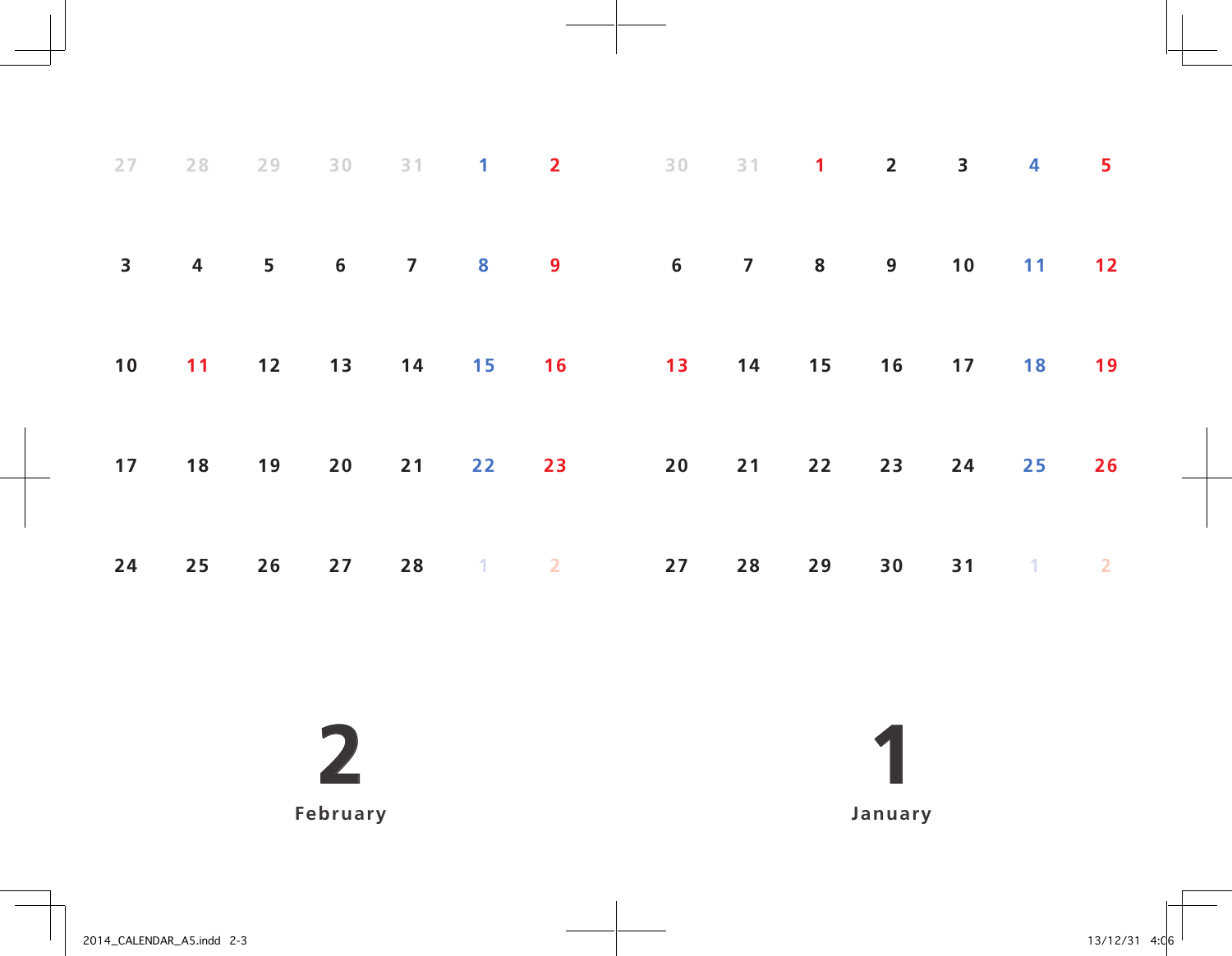|    |  |  |  | 27  28  29  30  31  1  2  30  31  1  2  3  4  5 |  |  |  |
|----|--|--|--|-------------------------------------------------|--|--|--|
|    |  |  |  | 3 4 5 6 7 8 9 6 7 8 9 10 11 12                  |  |  |  |
|    |  |  |  | 10 11 12 13 14 15 16 13 14 15 16 17 18 19       |  |  |  |
|    |  |  |  | 17 18 19 20 21 22 23 20 21 22 23 24 25 26       |  |  |  |
| 24 |  |  |  | 25  26  27  28  1  2  27  28  29  30  31  1  2  |  |  |  |

**February**

 **January**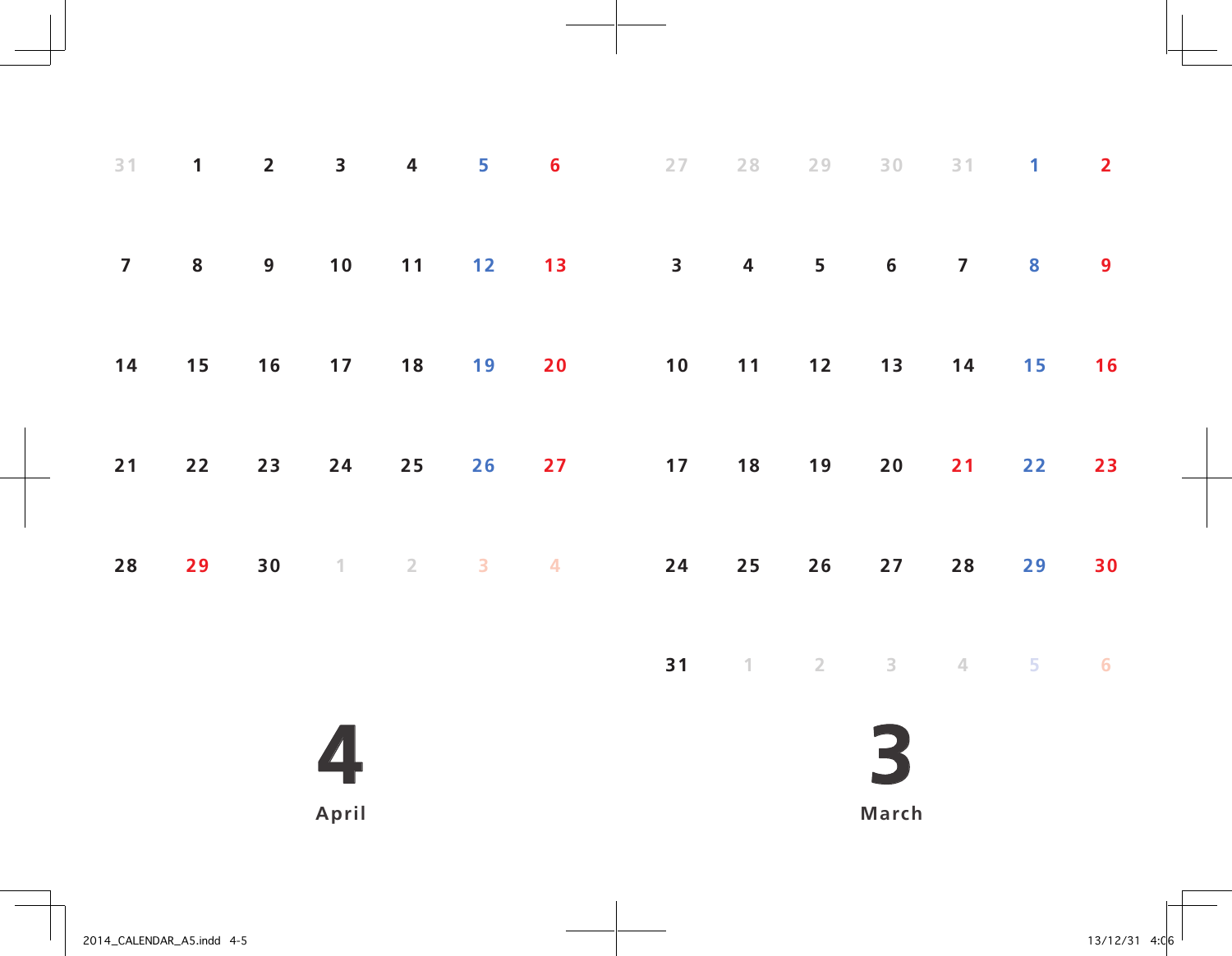| 31             | $\mathbf{1}$ | $\overline{2}$   | $\overline{\mathbf{3}}$   | $\overline{\mathbf{4}}$ | 5                       | $6\phantom{1}6$         | 27                      | 28                        | 29         | $30\,$  | 31             | $\mathbf{1}$ | $\overline{2}$ |
|----------------|--------------|------------------|---------------------------|-------------------------|-------------------------|-------------------------|-------------------------|---------------------------|------------|---------|----------------|--------------|----------------|
| $\overline{7}$ | ${\bf 8}$    | $\boldsymbol{9}$ | 10                        | 11                      | 12                      | 13                      | $\overline{\mathbf{3}}$ | $\overline{\mathbf{4}}$   | 5          | $\bf 6$ | $\overline{7}$ | 8            | 9              |
| $14$           | 15           | $16$             | 17                        | 18                      | 19                      | 20                      | $10$                    | 11                        | $12$       | 13      | $14$           | 15           | 16             |
| $21$           | $22$         | 23               | 24                        | 25                      | 26                      | 27                      | 17                      | 18                        | 19         | 20      | 21             | 22           | 23             |
| $28$           | 29           | 30               | $\ensuremath{\mathsf{T}}$ | $\sqrt{2}$              | $\overline{\mathbf{3}}$ | $\overline{\mathbf{4}}$ | ${\bf 24}$              | 25                        | 26         | 27      | 28             | 29           | 30             |
|                |              |                  |                           |                         |                         |                         | 31                      | $\ensuremath{\mathbb{T}}$ | $\sqrt{2}$ | 3       | $\angle$       | 5            | 6              |
|                |              |                  |                           |                         |                         |                         |                         |                           |            |         |                |              |                |
|                |              |                  | April                     |                         |                         |                         |                         |                           |            | March   |                |              |                |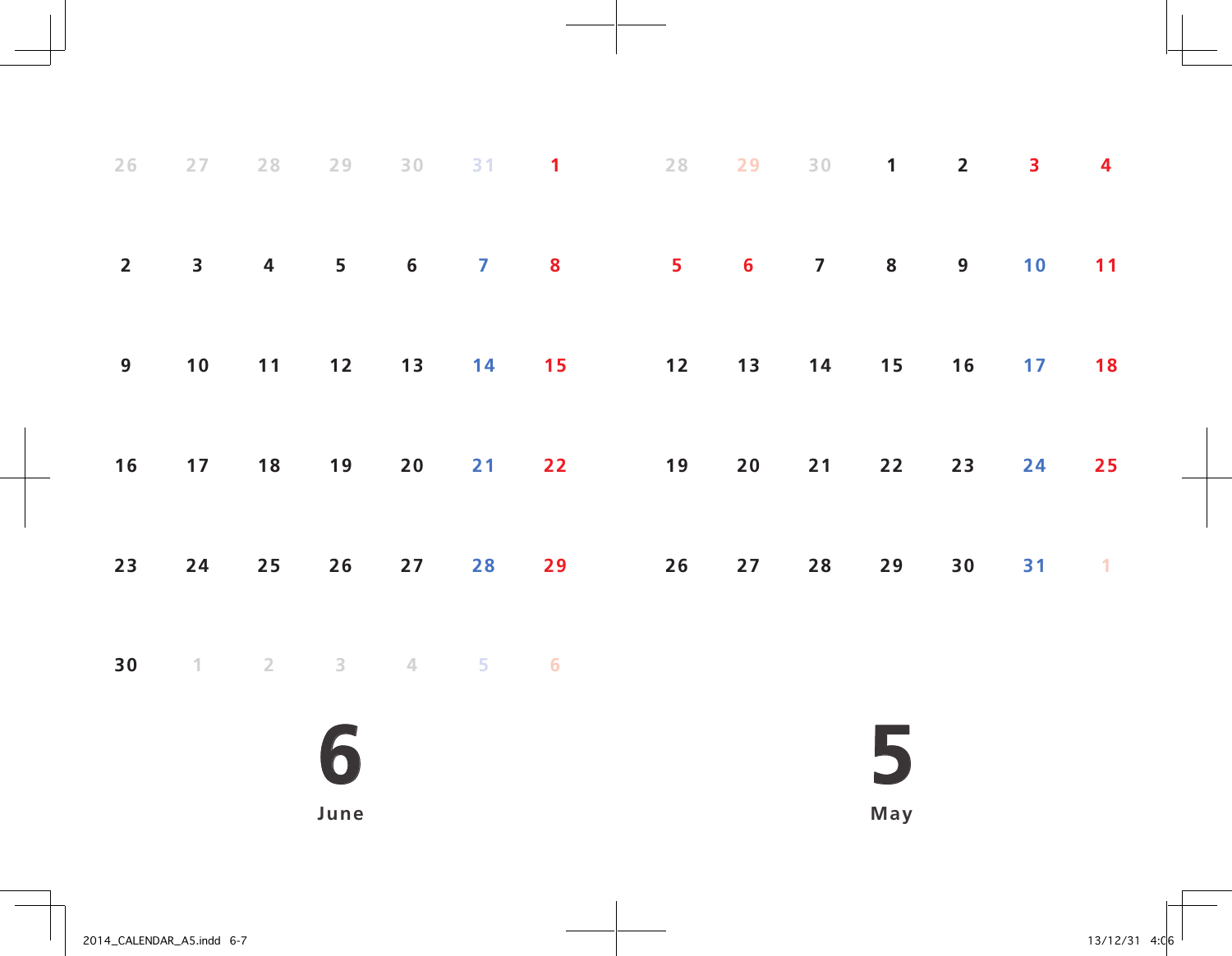| 26             | 27                      | $2\,8$                  | 29             |    |                                                  | 30 31 1 28                                             |    | 29 | $30 \qquad 1$ |    | $\overline{2}$ | 3  | $\overline{\mathbf{4}}$ |
|----------------|-------------------------|-------------------------|----------------|----|--------------------------------------------------|--------------------------------------------------------|----|----|---------------|----|----------------|----|-------------------------|
| $\overline{2}$ | $\overline{\mathbf{3}}$ | $\overline{\mathbf{4}}$ | 5 <sub>1</sub> |    |                                                  | $\begin{array}{ccccccccc}\n6 & & 7 & & 8\n\end{array}$ |    |    | 5 6 7         | 8  | 9 <sub>o</sub> | 10 | 11                      |
| 9              | 10                      | $11 -$                  |                |    |                                                  | 12 13 14 15 12 13 14 15                                |    |    |               |    | 16             |    | 17 18                   |
| 16             | 17                      | 18                      | 19             | 20 | 21                                               | 22                                                     | 19 | 20 | 21            | 22 | 23             | 24 | 25                      |
| 23             | 24                      | $25$                    | 26             | 27 | 28                                               | 29                                                     | 26 | 27 | 28            | 29 | 30             | 31 | $\sim$ 1.               |
| 30             |                         |                         |                |    | $1 \qquad 2 \qquad 3 \qquad 4 \qquad 5 \qquad 6$ |                                                        |    |    |               |    |                |    |                         |
|                |                         |                         |                |    |                                                  |                                                        |    |    |               |    |                |    |                         |

**June**

**May**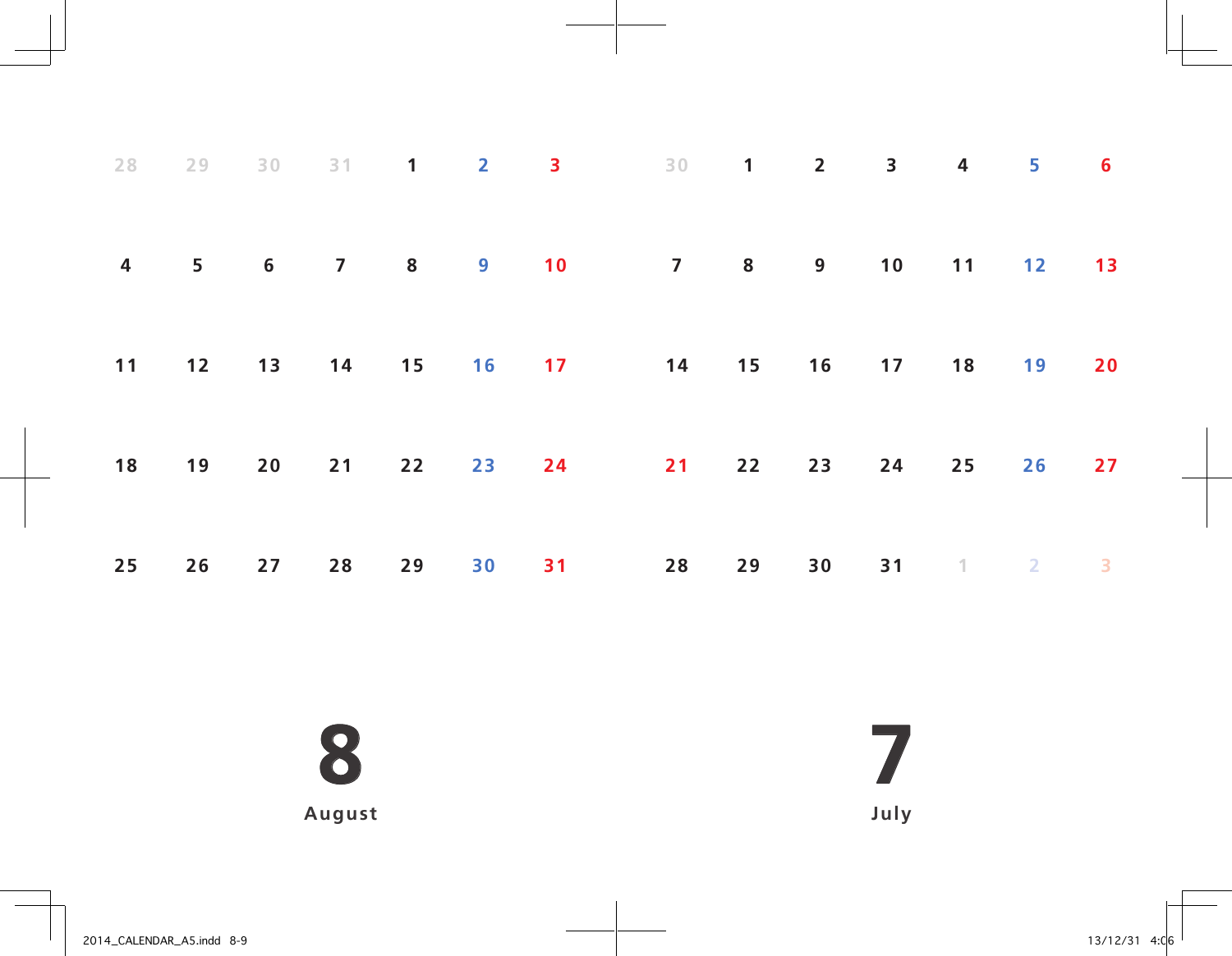|  |  |  | 28 29 30 31 1 2 3 30 1 2 3 4 5 6          |  |             |  |       |
|--|--|--|-------------------------------------------|--|-------------|--|-------|
|  |  |  | 4 5 6 7 8 9 10 7 8 9 10 11 12 13          |  |             |  |       |
|  |  |  | 11 12 13 14 15 16 17 14 15 16 17 18 19 20 |  |             |  |       |
|  |  |  | 18 19 20 21 22 23 24 21 22 23 24 25       |  |             |  | 26 27 |
|  |  |  | 25  26  27  28  29  30  31  28  29        |  | 30 31 1 2 3 |  |       |

**August**

**July**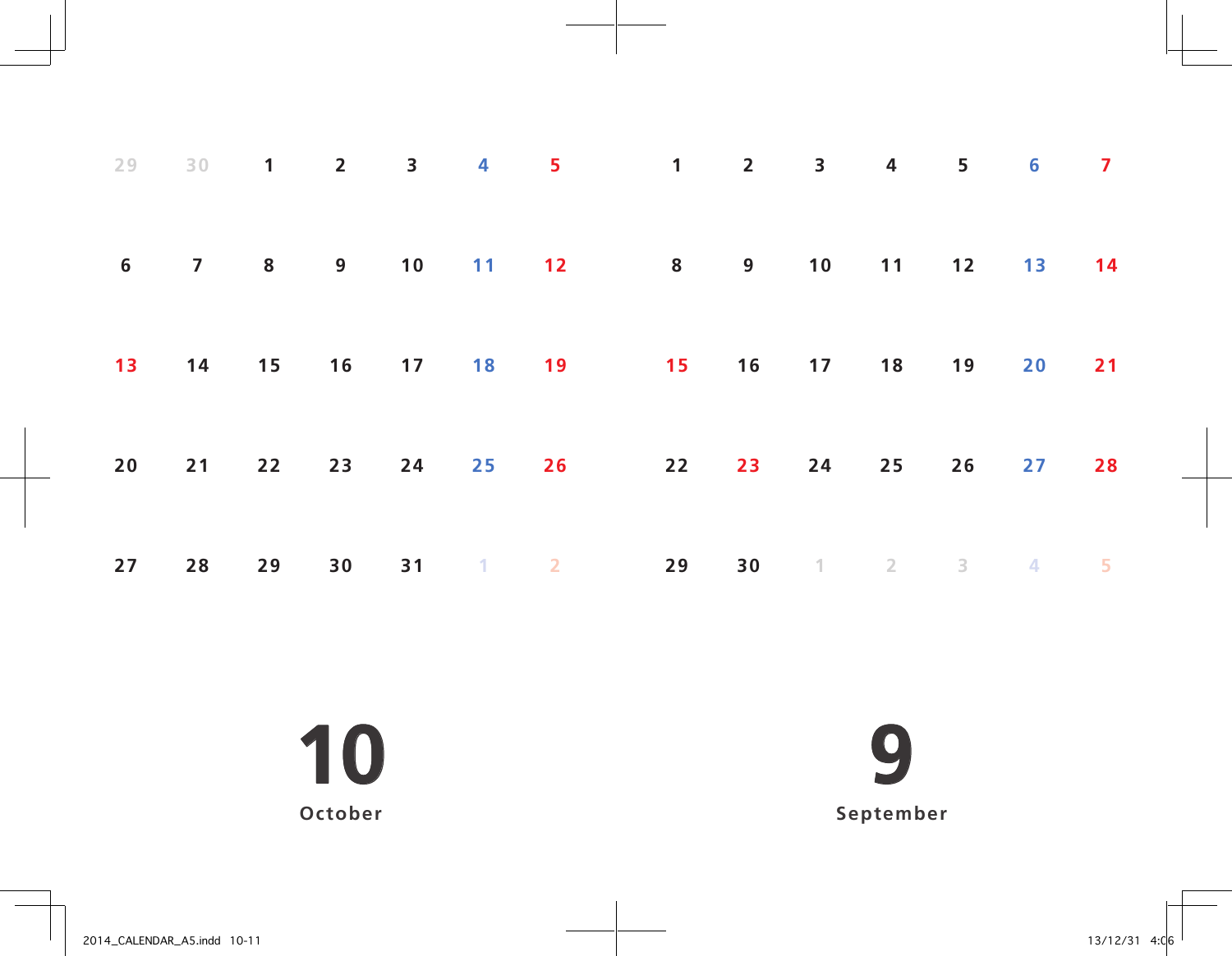|  |  |  | 29 30 1 2 3 4 5 1 2 3 4 5 6 7                          |  |  |  |
|--|--|--|--------------------------------------------------------|--|--|--|
|  |  |  | 6 7 8 9 10 11 12 8 9 10 11 12 13 14                    |  |  |  |
|  |  |  | 13  14  15  16  17  18  19  15  16  17  18  19  20  21 |  |  |  |
|  |  |  | 20 21 22 23 24 25 26 22 23 24 25 26 27 28              |  |  |  |
|  |  |  | 27 28 29 30 31 1 2 29 30 1 2 3 4 5                     |  |  |  |

 **October**

**September**